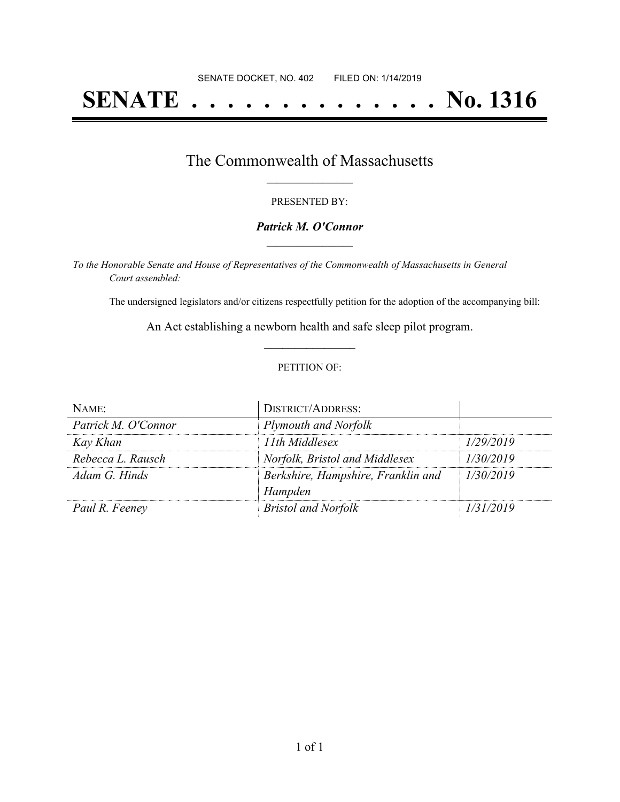# **SENATE . . . . . . . . . . . . . . No. 1316**

### The Commonwealth of Massachusetts **\_\_\_\_\_\_\_\_\_\_\_\_\_\_\_\_\_**

#### PRESENTED BY:

#### *Patrick M. O'Connor* **\_\_\_\_\_\_\_\_\_\_\_\_\_\_\_\_\_**

*To the Honorable Senate and House of Representatives of the Commonwealth of Massachusetts in General Court assembled:*

The undersigned legislators and/or citizens respectfully petition for the adoption of the accompanying bill:

An Act establishing a newborn health and safe sleep pilot program. **\_\_\_\_\_\_\_\_\_\_\_\_\_\_\_**

#### PETITION OF:

| NAME:               | <b>DISTRICT/ADDRESS:</b>           |           |
|---------------------|------------------------------------|-----------|
| Patrick M. O'Connor | Plymouth and Norfolk               |           |
| Kay Khan            | 11th Middlesex                     | 1/29/2019 |
| Rebecca L. Rausch   | Norfolk, Bristol and Middlesex     | 1/30/2019 |
| Adam G. Hinds       | Berkshire, Hampshire, Franklin and | 1/30/2019 |
|                     | Hampden                            |           |
| Paul R. Feeney      | <b>Bristol and Norfolk</b>         | 1/31/2019 |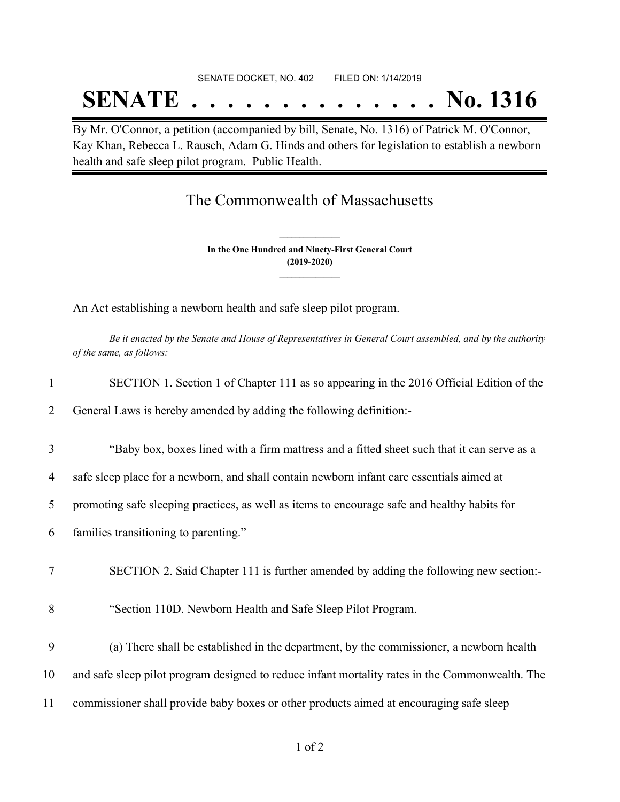# SENATE DOCKET, NO. 402 FILED ON: 1/14/2019 **SENATE . . . . . . . . . . . . . . No. 1316**

By Mr. O'Connor, a petition (accompanied by bill, Senate, No. 1316) of Patrick M. O'Connor, Kay Khan, Rebecca L. Rausch, Adam G. Hinds and others for legislation to establish a newborn health and safe sleep pilot program. Public Health.

## The Commonwealth of Massachusetts

**In the One Hundred and Ninety-First General Court (2019-2020) \_\_\_\_\_\_\_\_\_\_\_\_\_\_\_**

**\_\_\_\_\_\_\_\_\_\_\_\_\_\_\_**

An Act establishing a newborn health and safe sleep pilot program.

Be it enacted by the Senate and House of Representatives in General Court assembled, and by the authority *of the same, as follows:*

| $\mathbf{1}$ | SECTION 1. Section 1 of Chapter 111 as so appearing in the 2016 Official Edition of the         |
|--------------|-------------------------------------------------------------------------------------------------|
| 2            | General Laws is hereby amended by adding the following definition:-                             |
| 3            | "Baby box, boxes lined with a firm mattress and a fitted sheet such that it can serve as a      |
| 4            | safe sleep place for a newborn, and shall contain newborn infant care essentials aimed at       |
| 5            | promoting safe sleeping practices, as well as items to encourage safe and healthy habits for    |
| 6            | families transitioning to parenting."                                                           |
| 7            | SECTION 2. Said Chapter 111 is further amended by adding the following new section:-            |
| 8            | "Section 110D. Newborn Health and Safe Sleep Pilot Program.                                     |
| 9            | (a) There shall be established in the department, by the commissioner, a newborn health         |
| 10           | and safe sleep pilot program designed to reduce infant mortality rates in the Commonwealth. The |
| 11           | commissioner shall provide baby boxes or other products aimed at encouraging safe sleep         |
|              |                                                                                                 |